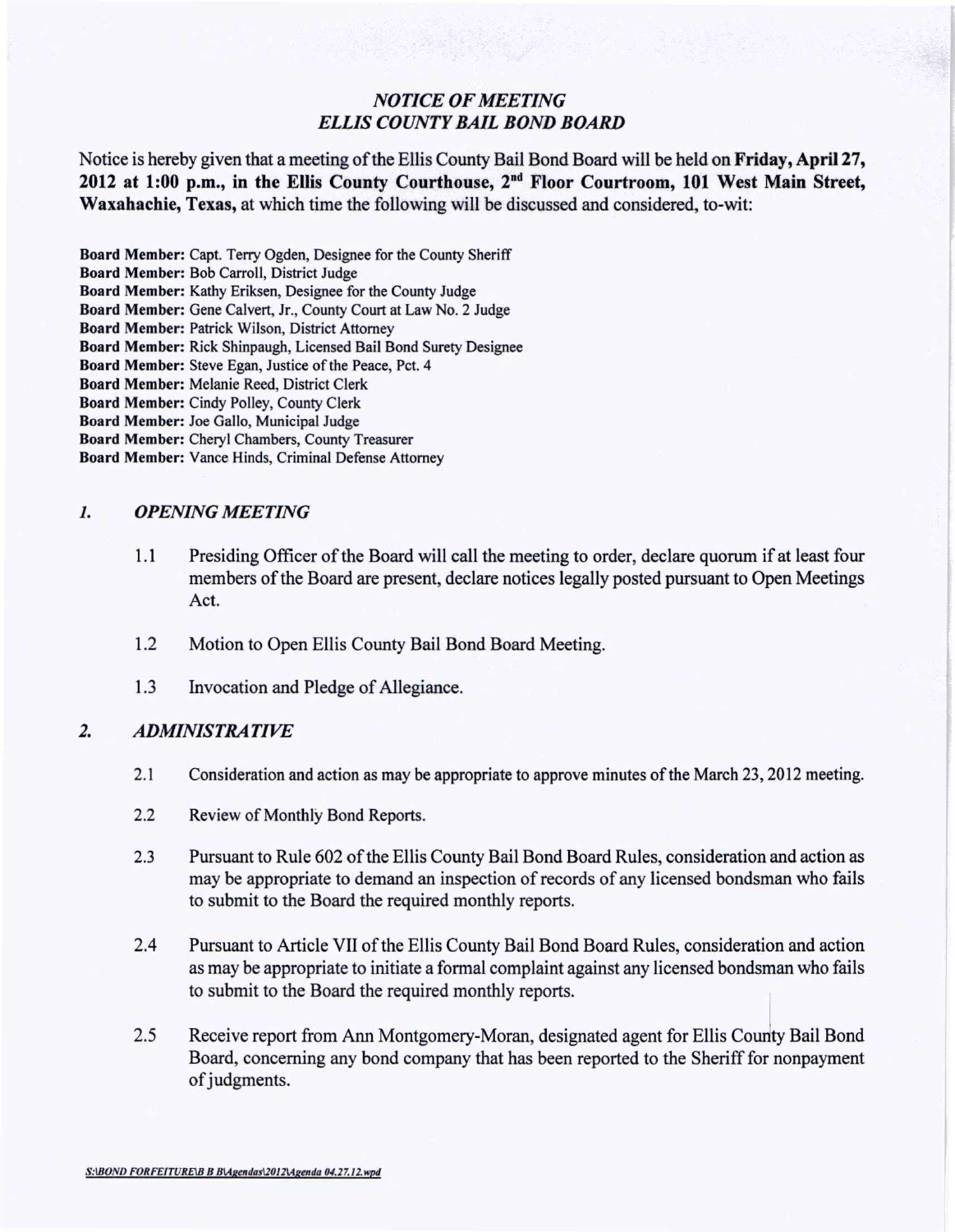## *NOTICE OF MEETING ELLIS COUNTY BAIL BOND BOARD*

Notice is hereby given that a meeting of the Ellis County Bail Bond Board will be held on Friday, Apri127, 2012 at 1:00 p.m., in the Ellis County Courthouse, 2<sup>nd</sup> Floor Courtroom, 101 West Main Street Waxahachie, Texas, at which time the following will be discussed and considered, to-wit:

Board Member: Capt. Terry Ogden, Designee for the County Sheriff

Board Member: Bob Carroll, District Judge

Board Member: Kathy Eriksen, Designee for the County Judge

Board Member: Gene Calvert, Jr., County Court at Law No.2 Judge

Board Member: Patrick Wilson, District Attorney

Board Member: Rick Shinpaugh, Licensed Bail Bond Surety Designee

Board Member: Steve Egan, Justice of the Peace, Pet, 4

Board Member: Melanie Reed, District Clerk

Board Member: Cindy Polley, County Clerk

Board Member: Joe Gallo, Municipal Judge

Board Member: Cheryl Chambers, County Treasurer

Board Member: Vance Hinds, Criminal Defense Attorney

## *1. OPENING MEETING*

- 1.1 Presiding Officer of the Board will call the meeting to order, declare quorum if at least four members of the Board are present, declare notices legally posted pursuant to Open Meetings Act.
- 1.2 Motion to Open Ellis County Bail Bond Board Meeting.
- 1.3 Invocation and Pledge of Allegiance.

## *2. ADMINISTRATIVE*

- 2.1 Consideration and action as may be appropriate to approve minutes of the March 23, 2012 meeting.
- 2.2 Review of Monthly Bond Reports.
- 2.3 Pursuant to Rule 602 of the Ellis County Bail Bond Board Rules, consideration and action as may be appropriate to demand an inspection of records of any licensed bondsman who fails to submit to the Board the required monthly reports.
- 2.4 Pursuant to Article VII of the Ellis County Bail Bond Board Rules, consideration and action as may be appropriate to initiate a formal complaint against any licensed bondsman who fails to submit to the Board the required monthly reports.
- 2.5 Receive report from Ann Montgomery-Moran, designated agent for Ellis County Bail Bond Board, concerning any bond company that has been reported to the Sheriff for nonpayment of judgments.